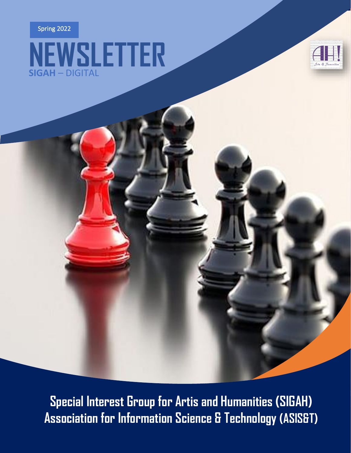Spring 2022

# **NEWSLETTER SIGAH** – DIGITAL



**Special Interest Group for Artis and Humanities (SIGAH) Association for Information Science & Technology (ASIS&T)**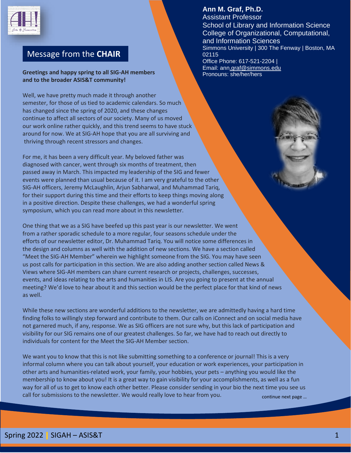

## Message from the **CHAIR**

**Greetings and happy spring to all SIG-AH members and to the broader ASIS&T community!**

Well, we have pretty much made it through another semester, for those of us tied to academic calendars. So much has changed since the spring of 2020, and these changes continue to affect all sectors of our society. Many of us moved our work online rather quickly, and this trend seems to have stuck around for now. We at SIG-AH hope that you are all surviving and thriving through recent stressors and changes.

For me, it has been a very difficult year. My beloved father was diagnosed with cancer, went through six months of treatment, then passed away in March. This impacted my leadership of the SIG and fewer events were planned than usual because of it. I am very grateful to the other SIG-AH officers, Jeremy McLaughlin, Arjun Sabharwal, and Muhammad Tariq, for their support during this time and their efforts to keep things moving along in a positive direction. Despite these challenges, we had a wonderful spring symposium, which you can read more about in this newsletter.

One thing that we as a SIG have beefed up this past year is our newsletter. We went from a rather sporadic schedule to a more regular, four seasons schedule under the efforts of our newsletter editor, Dr. Muhammad Tariq. You will notice some differences in the design and columns as well with the addition of new sections. We have a section called "Meet the SIG-AH Member" wherein we highlight someone from the SIG. You may have seen us post calls for participation in this section. We are also adding another section called News & Views where SIG-AH members can share current research or projects, challenges, successes, events, and ideas relating to the arts and humanities in LIS. Are you going to present at the annual meeting? We'd love to hear about it and this section would be the perfect place for that kind of news as well.

While these new sections are wonderful additions to the newsletter, we are admittedly having a hard time finding folks to willingly step forward and contribute to them. Our calls on iConnect and on social media have not garnered much, if any, response. We as SIG officers are not sure why, but this lack of participation and visibility for our SIG remains one of our greatest challenges. So far, we have had to reach out directly to individuals for content for the Meet the SIG-AH Member section.

We want you to know that this is not like submitting something to a conference or journal! This is a very informal column where you can talk about yourself, your education or work experiences, your participation in other arts and humanities-related work, your family, your hobbies, your pets – anything you would like the membership to know about you! It is a great way to gain visibility for your accomplishments, as well as a fun way for all of us to get to know each other better. Please consider sending in your bio the next time you see us call for submissions to the newsletter. We would really love to hear from you. continue next page …

#### **Ann M. Graf, Ph.D.**

Assistant Professor School of Library and Information Science College of Organizational, Computational, and Information Sciences Simmons University | 300 The Fenway | Boston, MA 02115 Office Phone: 617-521-2204 | Email: [ann.graf@simmons.edu](mailto:rebecca.davis@simmons.edu) Pronouns: she/her/hers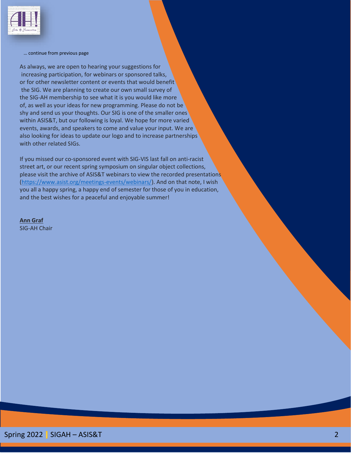

… continue from previous page

As always, we are open to hearing your suggestions for increasing participation, for webinars or sponsored talks, or for other newsletter content or events that would benefit the SIG. We are planning to create our own small survey of the SIG-AH membership to see what it is you would like more of, as well as your ideas for new programming. Please do not be shy and send us your thoughts. Our SIG is one of the smaller ones within ASIS&T, but our following is loyal. We hope for more varied events, awards, and speakers to come and value your input. We are also looking for ideas to update our logo and to increase partnerships with other related SIGs.

If you missed our co-sponsored event with SIG-VIS last fall on anti-racist street art, or our recent spring symposium on singular object collections, please visit the archive of ASIS&T webinars to view the recorded presentations [\(https://www.asist.org/meetings-events/webinars/\)](https://www.asist.org/meetings-events/webinars/). And on that note, I wish you all a happy spring, a happy end of semester for those of you in education, and the best wishes for a peaceful and enjoyable summer!

**Ann Graf** SIG-AH Chair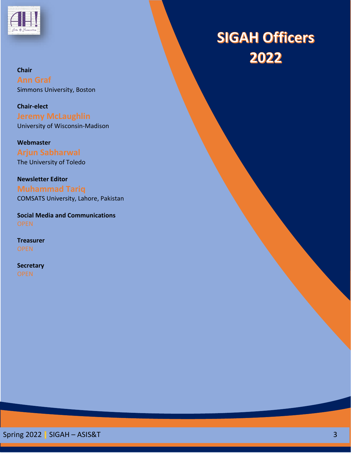

**Chair** Simmons University, Boston

#### **Chair-elect**

University of Wisconsin-Madison

**Webmaster** The University of Toledo

**Newsletter Editor** COMSATS University, Lahore, Pakistan

**Social Media and Communications**

**Treasurer**

**Secretary**

# **SIGAH Officers** 2022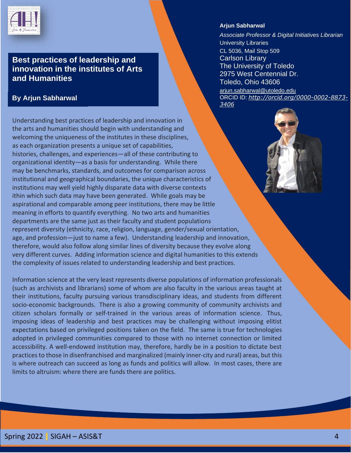

**Best practices of leadership and innovation in the institutes of Arts and Humanities**

#### **By Arjun Sabharwal**

#### **Arjun Sabharwal**

*Associate Professor & Digital Initiatives Librarian* University Libraries CL 5036, Mail Stop 509 Carlson Library The University of Toledo 2975 West Centennial Dr. Toledo, Ohio 43606

[arjun.sabharwal@utoledo.edu](mailto:arjun.sabharwal@utoledo.edu) ORCID ID: *[http://orcid.org/0000-0002-8873-](https://nam04.safelinks.protection.outlook.com/?url=http%3A%2F%2Forcid.org%2F0000-0002-8873-3406&data=04%7C01%7Carjun.sabharwal%40utoledo.edu%7C6cd3afd6b71e412a044808da1f185d1d%7C1d6b1707baa94a3da8f8deabfb3d467b%7C0%7C0%7C637856487648929480%7CUnknown%7CTWFpbGZsb3d8eyJWIjoiMC4wLjAwMDAiLCJQIjoiV2luMzIiLCJBTiI6Ik1haWwiLCJXVCI6Mn0%3D%7C3000&sdata=6N4CltcEF1O%2ByTA099B%2Fushx3w6MGVK%2BLtKmHGKV%2F1k%3D&reserved=0) [3406](https://nam04.safelinks.protection.outlook.com/?url=http%3A%2F%2Forcid.org%2F0000-0002-8873-3406&data=04%7C01%7Carjun.sabharwal%40utoledo.edu%7C6cd3afd6b71e412a044808da1f185d1d%7C1d6b1707baa94a3da8f8deabfb3d467b%7C0%7C0%7C637856487648929480%7CUnknown%7CTWFpbGZsb3d8eyJWIjoiMC4wLjAwMDAiLCJQIjoiV2luMzIiLCJBTiI6Ik1haWwiLCJXVCI6Mn0%3D%7C3000&sdata=6N4CltcEF1O%2ByTA099B%2Fushx3w6MGVK%2BLtKmHGKV%2F1k%3D&reserved=0)*

Understanding best practices of leadership and innovation in the arts and humanities should begin with understanding and welcoming the uniqueness of the institutes in these disciplines, as each organization presents a unique set of capabilities, histories, challenges, and experiences—all of these contributing to organizational identity—as a basis for understanding. While there may be benchmarks, standards, and outcomes for comparison across institutional and geographical boundaries, the unique characteristics of institutions may well yield highly disparate data with diverse contexts ithin which such data may have been generated. While goals may be aspirational and comparable among peer institutions, there may be little meaning in efforts to quantify everything. No two arts and humanities departments are the same just as their faculty and student populations represent diversity (ethnicity, race, religion, language, gender/sexual orientation, age, and profession—just to name a few). Understanding leadership and innovation, therefore, would also follow along similar lines of diversity because they evolve along very different curves. Adding information science and digital humanities to this extends the complexity of issues related to understanding leadership and best practices.

Information science at the very least represents diverse populations of information professionals (such as archivists and librarians) some of whom are also faculty in the various areas taught at their institutions, faculty pursuing various transdisciplinary ideas, and students from different socio-economic backgrounds. There is also a growing community of community archivists and citizen scholars formally or self-trained in the various areas of information science. Thus, imposing ideas of leadership and best practices may be challenging without imposing elitist expectations based on privileged positions taken on the field. The same is true for technologies adopted in privileged communities compared to those with no internet connection or limited accessibility. A well-endowed institution may, therefore, hardly be in a position to dictate best practices to those in disenfranchised and marginalized (mainly inner-city and rural) areas, but this is where outreach can succeed as long as funds and politics will allow. In most cases, there are limits to altruism: where there are funds there are politics.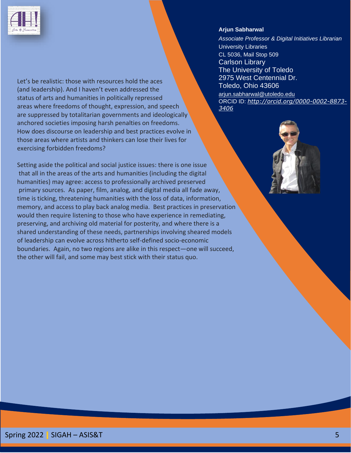

Let's be realistic: those with resources hold the aces (and leadership). And I haven't even addressed the status of arts and humanities in politically repressed areas where freedoms of thought, expression, and speech are suppressed by totalitarian governments and ideologically anchored societies imposing harsh penalties on freedoms. How does discourse on leadership and best practices evolve in those areas where artists and thinkers can lose their lives for exercising forbidden freedoms?

Setting aside the political and social justice issues: there is one issue that all in the areas of the arts and humanities (including the digital humanities) may agree: access to professionally archived preserved primary sources. As paper, film, analog, and digital media all fade away, time is ticking, threatening humanities with the loss of data, information, memory, and access to play back analog media. Best practices in preservation would then require listening to those who have experience in remediating, preserving, and archiving old material for posterity, and where there is a shared understanding of these needs, partnerships involving sheared models of leadership can evolve across hitherto self-defined socio-economic boundaries. Again, no two regions are alike in this respect—one will succeed, the other will fail, and some may best stick with their status quo.

#### **Arjun Sabharwal**

*Associate Professor & Digital Initiatives Librarian* University Libraries CL 5036, Mail Stop 509 Carlson Library The University of Toledo 2975 West Centennial Dr. Toledo, Ohio 43606

[arjun.sabharwal@utoledo.edu](mailto:arjun.sabharwal@utoledo.edu) ORCID ID: *[http://orcid.org/0000-0002-8873-](https://nam04.safelinks.protection.outlook.com/?url=http%3A%2F%2Forcid.org%2F0000-0002-8873-3406&data=04%7C01%7Carjun.sabharwal%40utoledo.edu%7C6cd3afd6b71e412a044808da1f185d1d%7C1d6b1707baa94a3da8f8deabfb3d467b%7C0%7C0%7C637856487648929480%7CUnknown%7CTWFpbGZsb3d8eyJWIjoiMC4wLjAwMDAiLCJQIjoiV2luMzIiLCJBTiI6Ik1haWwiLCJXVCI6Mn0%3D%7C3000&sdata=6N4CltcEF1O%2ByTA099B%2Fushx3w6MGVK%2BLtKmHGKV%2F1k%3D&reserved=0) [3406](https://nam04.safelinks.protection.outlook.com/?url=http%3A%2F%2Forcid.org%2F0000-0002-8873-3406&data=04%7C01%7Carjun.sabharwal%40utoledo.edu%7C6cd3afd6b71e412a044808da1f185d1d%7C1d6b1707baa94a3da8f8deabfb3d467b%7C0%7C0%7C637856487648929480%7CUnknown%7CTWFpbGZsb3d8eyJWIjoiMC4wLjAwMDAiLCJQIjoiV2luMzIiLCJBTiI6Ik1haWwiLCJXVCI6Mn0%3D%7C3000&sdata=6N4CltcEF1O%2ByTA099B%2Fushx3w6MGVK%2BLtKmHGKV%2F1k%3D&reserved=0)*

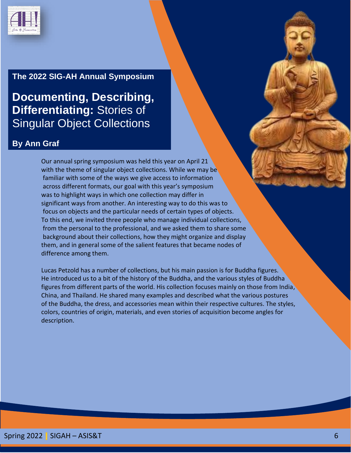

### **The 2022 SIG-AH Annual Symposium**

## **Documenting, Describing, Differentiating:** Stories of Singular Object Collections

#### **By Ann Graf**

Our annual spring symposium was held this year on April 21 with the theme of singular object collections. While we may be familiar with some of the ways we give access to information across different formats, our goal with this year's symposium was to highlight ways in which one collection may differ in significant ways from another. An interesting way to do this was to focus on objects and the particular needs of certain types of objects. To this end, we invited three people who manage individual collections, from the personal to the professional, and we asked them to share some background about their collections, how they might organize and display them, and in general some of the salient features that became nodes of difference among them.

Lucas Petzold has a number of collections, but his main passion is for Buddha figures. He introduced us to a bit of the history of the Buddha, and the various styles of Buddha figures from different parts of the world. His collection focuses mainly on those from India, China, and Thailand. He shared many examples and described what the various postures of the Buddha, the dress, and accessories mean within their respective cultures. The styles, colors, countries of origin, materials, and even stories of acquisition become angles for description.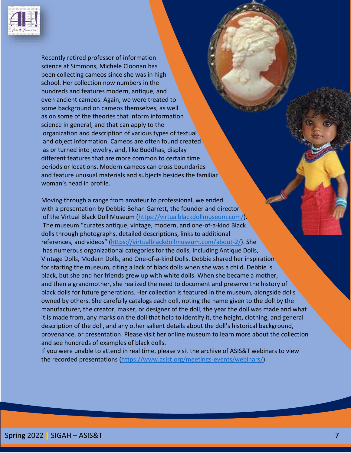

Recently retired professor of information science at Simmons, Michele Cloonan has been collecting cameos since she was in high school. Her collection now numbers in the hundreds and features modern, antique, and even ancient cameos. Again, we were treated to some background on cameos themselves, as well as on some of the theories that inform information science in general, and that can apply to the organization and description of various types of textual and object information. Cameos are often found created as or turned into jewelry, and, like Buddhas, display different features that are more common to certain time periods or locations. Modern cameos can cross boundaries and feature unusual materials and subjects besides the familiar woman's head in profile.

Moving through a range from amateur to professional, we ended with a presentation by Debbie Behan Garrett, the founder and director of the Virtual Black Doll Museum [\(https://virtualblackdollmuseum.com/\)](https://virtualblackdollmuseum.com/). The museum "curates antique, vintage, modern, and one-of-a-kind Black dolls through photographs, detailed descriptions, links to additional references, and videos" ([https://virtualblackdollmuseum.com/about-2/\)](https://virtualblackdollmuseum.com/about-2/). She has numerous organizational categories for the dolls, including Antique Dolls, Vintage Dolls, Modern Dolls, and One-of-a-kind Dolls. Debbie shared her inspiration for starting the museum, citing a lack of black dolls when she was a child. Debbie is black, but she and her friends grew up with white dolls. When she became a mother, and then a grandmother, she realized the need to document and preserve the history of black dolls for future generations. Her collection is featured in the museum, alongside dolls owned by others. She carefully catalogs each doll, noting the name given to the doll by the manufacturer, the creator, maker, or designer of the doll, the year the doll was made and what it is made from, any marks on the doll that help to identify it, the height, clothing, and general description of the doll, and any other salient details about the doll's historical background, provenance, or presentation. Please visit her online museum to learn more about the collection and see hundreds of examples of black dolls.

If you were unable to attend in real time, please visit the archive of ASIS&T webinars to view the recorded presentations [\(https://www.asist.org/meetings-events/webinars/\)](https://www.asist.org/meetings-events/webinars/).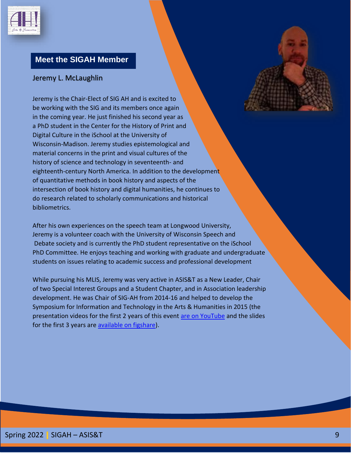

#### **Meet the SIGAH Member**

#### Jeremy L. McLaughlin

Jeremy is the Chair-Elect of SIG AH and is excited to be working with the SIG and its members once again in the coming year. He just finished his second year as a PhD student in the Center for the History of Print and Digital Culture in the iSchool at the University of Wisconsin-Madison. Jeremy studies epistemological and material concerns in the print and visual cultures of the history of science and technology in seventeenth- and eighteenth-century North America. In addition to the development of quantitative methods in book history and aspects of the intersection of book history and digital humanities, he continues to do research related to scholarly communications and historical bibliometrics.

After his own experiences on the speech team at Longwood University, Jeremy is a volunteer coach with the University of Wisconsin Speech and Debate society and is currently the PhD student representative on the iSchool PhD Committee. He enjoys teaching and working with graduate and undergraduate students on issues relating to academic success and professional development

While pursuing his MLIS, Jeremy was very active in ASIS&T as a New Leader, Chair of two Special Interest Groups and a Student Chapter, and in Association leadership development. He was Chair of SIG-AH from 2014-16 and helped to develop the Symposium for Information and Technology in the Arts & Humanities in 2015 (the presentation videos for the first 2 years of this event [are on YouTube](https://www.youtube.com/channel/UCh6awNw3yZbodGT42HlCD_g/videos) and the slides for the first 3 years are [available on figshare\)](https://figshare.com/authors/Symposium_on_Information_and_technology_in_the_arts_and_humanities/740215).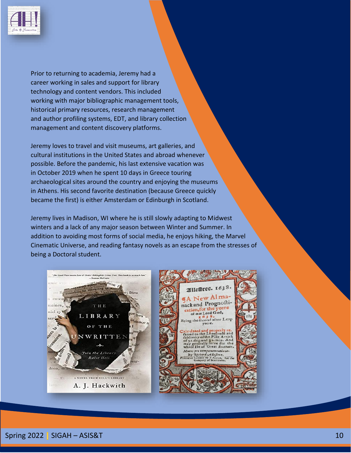

Prior to returning to academia, Jeremy had a career working in sales and support for library technology and content vendors. This included working with major bibliographic management tools, historical primary resources, research management and author profiling systems, EDT, and library collection management and content discovery platforms.

Jeremy loves to travel and visit museums, art galleries, and cultural institutions in the United States and abroad whenever possible. Before the pandemic, his last extensive vacation was in October 2019 when he spent 10 days in Greece touring archaeological sites around the country and enjoying the museums in Athens. His second favorite destination (because Greece quickly became the first) is either Amsterdam or Edinburgh in Scotland.

Jeremy lives in Madison, WI where he is still slowly adapting to Midwest winters and a lack of any major season between Winter and Summer. In addition to avoiding most forms of social media, he enjoys hiking, the Marvel Cinematic Universe, and reading fantasy novels as an escape from the stresses of being a Doctoral student.



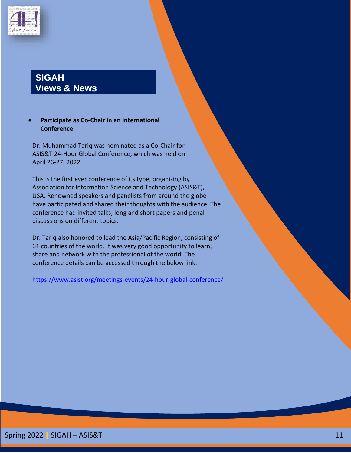

## **SIGAH Views & News**

#### • **Participate as Co-Chair in an International Conference**

Dr. Muhammad Tariq was nominated as a Co-Chair for ASIS&T 24-Hour Global Conference, which was held on April 26-27, 2022.

This is the first ever conference of its type, organizing by Association for Information Science and Technology (ASIS&T), USA. Renowned speakers and panelists from around the globe have participated and shared their thoughts with the audience. The conference had invited talks, long and short papers and penal discussions on different topics.

Dr. Tariq also honored to lead the Asia/Pacific Region, consisting of 61 countries of the world. It was very good opportunity to learn, share and network with the professional of the world. The conference details can be accessed through the below link:

<https://www.asist.org/meetings-events/24-hour-global-conference/>